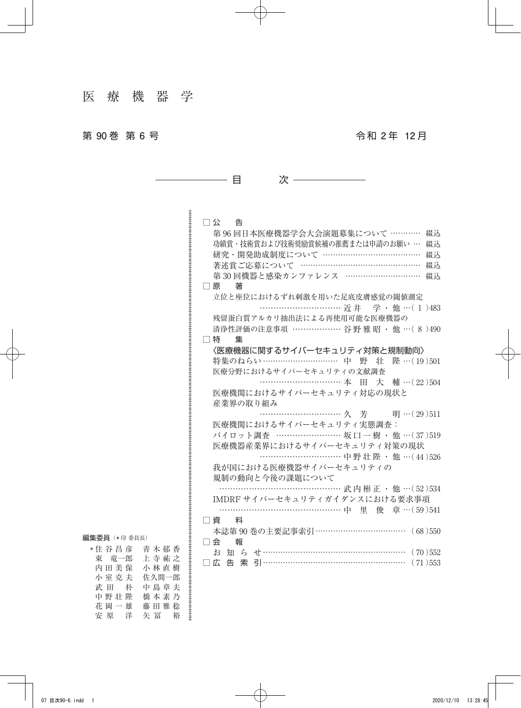## 第 **90** 巻 第 **6** 号 令 和 **2** 年 **12** 月

| □ 公   告                                  |
|------------------------------------------|
| 第96回日本医療機器学会大会演題募集について …………<br>綴込        |
| 功績賞・技術賞および技術奨励賞候補の推薦または申請のお願い …<br>綴込    |
| 研究・開発助成制度について ………………………………<br>綴込         |
| 著述賞ご応募について ………………………………………<br>綴认         |
| 第30回機器と感染カンファレンス …………………………<br>綴込        |
| □ 原<br>著                                 |
| 立位と座位におけるずれ刺激を用いた足底皮膚感覚の閾値測定             |
| ………………………… 近井 学·他…(1)483                 |
| 残留蛋白質アルカリ抽出法による再使用可能な医療機器の               |
| 清浄性評価の注意事項 ……………… 谷野 雅 昭 · 他 … (8)490    |
| コ 特 にんしょう<br>集                           |
| 〈医療機器に関するサイバーセキュリティ対策と規制動向〉              |
| 特集のねらい………………………… 中 野 壮 陛…(19)501         |
| 医療分野におけるサイバーセキュリティの文献調査                  |
| ………………………… 本 田 大 輔 …(22)504              |
| 医療機関におけるサイバーセキュリティ対応の現状と                 |
| 産業界の取り組み                                 |
|                                          |
| 医療機関におけるサイバーセキュリティ実態調査:                  |
| パイロット調査 …………………… 坂口 一樹 ・他 …(37)519       |
| 医療機器産業界におけるサイバーセキュリティ対策の現状               |
| ………………………… 中野壮陛 · 他 …(44)526             |
| 我が国における医療機器サイバーセキュリティの                   |
| 規制の動向と今後の課題について                          |
| …………………………………… 武内彬正 • 他 …(52)534         |
| IMDRF サイバーセキュリティガイダンスにおける要求事項            |
| …………………………………… 中 里 俊 章…(59)541           |
| □ 資 料                                    |
| 本誌第90巻の主要記事索引……………………………<br>(68)550      |
| 口会<br>報                                  |
| (70)552                                  |
| □ 広 告 索 引……………………………………………………<br>(71)553 |

目 次

## 編集委員(\* 印 委員長)

| * 住 谷 昌 彦 | 青 木 郁 香 |                               |
|-----------|---------|-------------------------------|
| 東竜一郎      | 上寺祐之    |                               |
| 内 田 美 保   | 小林直樹    |                               |
| 小室克夫      | 佐久間一郎   |                               |
| 武 田 朴     | 中 島 章 夫 |                               |
| 中 野 壮 陛   | 橋本素乃    |                               |
| 花岡一雄      | 藤 田 雅 稔 |                               |
| 安 原 洋     | 矢 冨 裕   | нинининининининининининининин |
|           |         |                               |